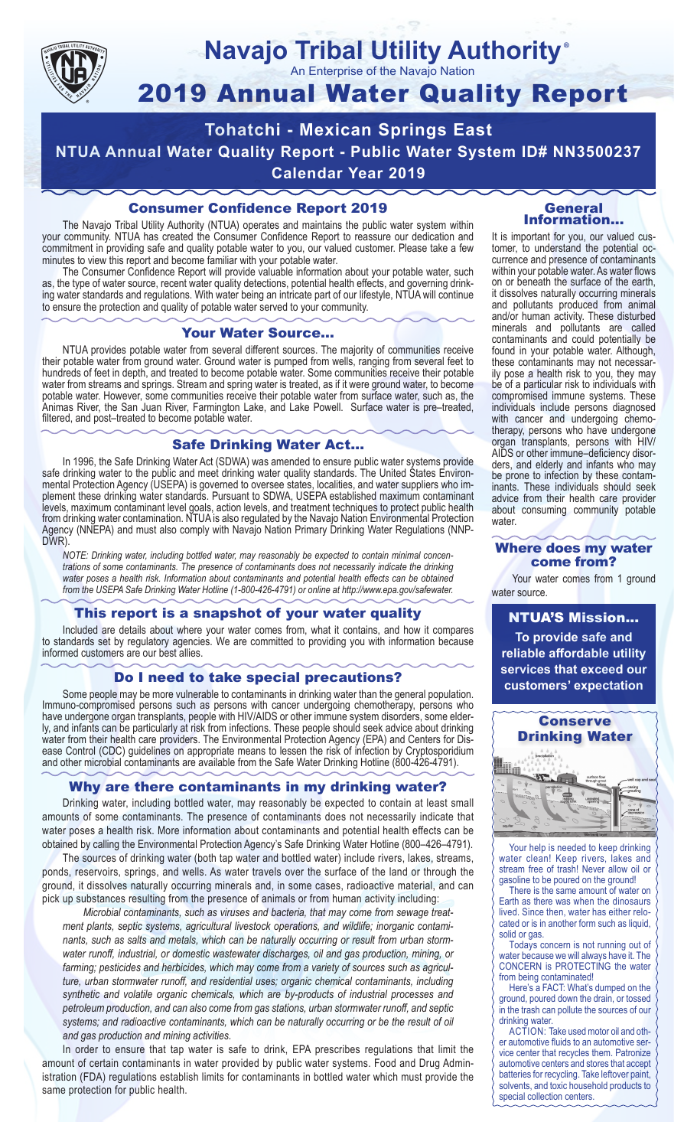

## **Navajo Tribal Utility Authority** ®

An Enterprise of the Navajo Nation

# 2019 Annual Water Quality Report

**Tohatchi - Mexican Springs East NTUA Annual Water Quality Report - Public Water System ID# NN3500237 Calendar Year 2019**

## Consumer Confidence Report 2019

The Navajo Tribal Utility Authority (NTUA) operates and maintains the public water system within your community. NTUA has created the Consumer Confidence Report to reassure our dedication and commitment in providing safe and quality potable water to you, our valued customer. Please take a few minutes to view this report and become familiar with your potable water.

The Consumer Confidence Report will provide valuable information about your potable water, such as, the type of water source, recent water quality detections, potential health effects, and governing drinking water standards and regulations. With water being an intricate part of our lifestyle, NTUA will continue to ensure the protection and quality of potable water served to your community.

#### Your Water Source…

NTUA provides potable water from several different sources. The majority of communities receive their potable water from ground water. Ground water is pumped from wells, ranging from several feet to hundreds of feet in depth, and treated to become potable water. Some communities receive their potable water from streams and springs. Stream and spring water is treated, as if it were ground water, to become potable water. However, some communities receive their potable water from surface water, such as, the Animas River, the San Juan River, Farmington Lake, and Lake Powell. Surface water is pre–treated, filtered, and post–treated to become potable water.

### Safe Drinking Water Act…

In 1996, the Safe Drinking Water Act (SDWA) was amended to ensure public water systems provide safe drinking water to the public and meet drinking water quality standards. The United States Environmental Protection Agency (USEPA) is governed to oversee states, localities, and water suppliers who implement these drinking water standards. Pursuant to SDWA, USEPA established maximum contaminant levels, maximum contaminant level goals, action levels, and treatment techniques to protect public health from drinking water contamination. NTUA is also regulated by the Navajo Nation Environmental Protection Agency (NNEPA) and must also comply with Navajo Nation Primary Drinking Water Regulations (NNP-DWR)

*NOTE: Drinking water, including bottled water, may reasonably be expected to contain minimal concentrations of some contaminants. The presence of contaminants does not necessarily indicate the drinking water poses a health risk. Information about contaminants and potential health effects can be obtained from the USEPA Safe Drinking Water Hotline (1-800-426-4791) or online at http://www.epa.gov/safewater.*

### This report is a snapshot of your water quality

Included are details about where your water comes from, what it contains, and how it compares to standards set by regulatory agencies. We are committed to providing you with information because informed customers are our best allies.

## Do I need to take special precautions?

Some people may be more vulnerable to contaminants in drinking water than the general population. Immuno-compromised persons such as persons with cancer undergoing chemotherapy, persons who have undergone organ transplants, people with HIV/AIDS or other immune system disorders, some elderly, and infants can be particularly at risk from infections. These people should seek advice about drinking water from their health care providers. The Environmental Protection Agency (EPA) and Centers for Disease Control (CDC) guidelines on appropriate means to lessen the risk of infection by Cryptosporidium and other microbial contaminants are available from the Safe Water Drinking Hotline (800-426-4791).

# Why are there contaminants in my drinking water?

Drinking water, including bottled water, may reasonably be expected to contain at least small amounts of some contaminants. The presence of contaminants does not necessarily indicate that water poses a health risk. More information about contaminants and potential health effects can be obtained by calling the Environmental Protection Agency's Safe Drinking Water Hotline (800–426–4791).

The sources of drinking water (both tap water and bottled water) include rivers, lakes, streams, ponds, reservoirs, springs, and wells. As water travels over the surface of the land or through the ground, it dissolves naturally occurring minerals and, in some cases, radioactive material, and can pick up substances resulting from the presence of animals or from human activity including:

*Microbial contaminants, such as viruses and bacteria, that may come from sewage treatment plants, septic systems, agricultural livestock operations, and wildlife; inorganic contaminants, such as salts and metals, which can be naturally occurring or result from urban stormwater runoff, industrial, or domestic wastewater discharges, oil and gas production, mining, or farming; pesticides and herbicides, which may come from a variety of sources such as agriculture, urban stormwater runoff, and residential uses; organic chemical contaminants, including synthetic and volatile organic chemicals, which are by-products of industrial processes and petroleum production, and can also come from gas stations, urban stormwater runoff, and septic systems; and radioactive contaminants, which can be naturally occurring or be the result of oil and gas production and mining activities.*

In order to ensure that tap water is safe to drink, EPA prescribes regulations that limit the amount of certain contaminants in water provided by public water systems. Food and Drug Administration (FDA) regulations establish limits for contaminants in bottled water which must provide the same protection for public health.

#### General Information…

It is important for you, our valued customer, to understand the potential occurrence and presence of contaminants within your potable water. As water flows on or beneath the surface of the earth, it dissolves naturally occurring minerals and pollutants produced from animal and/or human activity. These disturbed minerals and pollutants are called contaminants and could potentially be found in your potable water. Although, these contaminants may not necessarily pose a health risk to you, they may be of a particular risk to individuals with compromised immune systems. These individuals include persons diagnosed with cancer and undergoing chemo-<br>therapy, persons who have undergone organ transplants, persons with HIV/ AIDS or other immune–deficiency disor- ders, and elderly and infants who may be prone to infection by these contam- inants. These individuals should seek advice from their health care provider about consuming community potable water.

#### Where does my water come from?

Your water comes from 1 ground water source.

NTUA'S Mission... **To provide safe and reliable affordable utility services that exceed our customers' expectation**



Your help is needed to keep drinking water clean! Keep rivers, lakes and stream free of trash! Never allow oil or gasoline to be poured on the ground!

There is the same amount of water on Earth as there was when the dinosaurs lived. Since then, water has either relocated or is in another form such as liquid, solid or gas.

Todays concern is not running out of water because we will always have it. The CONCERN is PROTECTING the water from being contaminated!

Here's a FACT: What's dumped on the ground, poured down the drain, or tossed in the trash can pollute the sources of our drinking water.

ACTION: Take used motor oil and other automotive fluids to an automotive service center that recycles them. Patronize automotive centers and stores that accept batteries for recycling. Take leftover paint, solvents, and toxic household products to special collection centers.